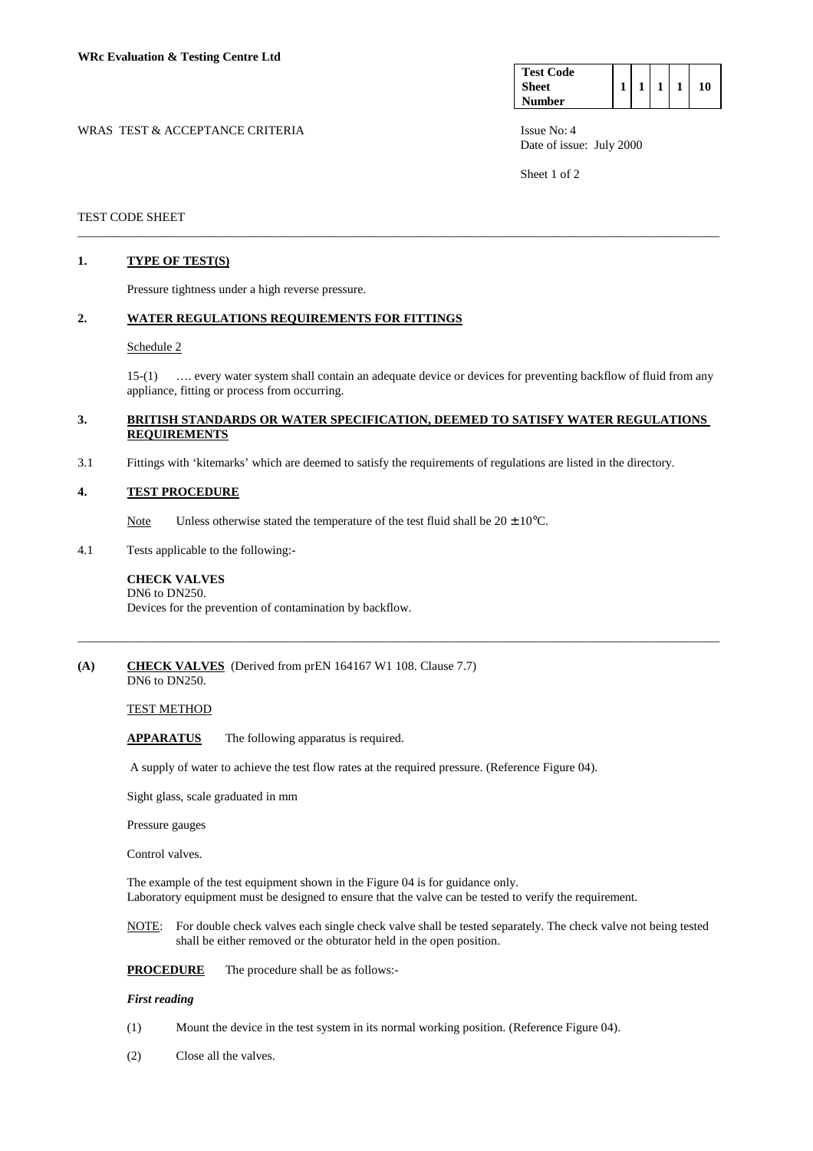| <b>Test Code</b> |  |  |    |
|------------------|--|--|----|
| <b>Sheet</b>     |  |  | ١O |
| <b>Number</b>    |  |  |    |

WRAS TEST & ACCEPTANCE CRITERIA ISSUE No: 4 Date of issue: July 2000

Sheet 1 of 2

## TEST CODE SHEET

# **1. TYPE OF TEST(S)**

Pressure tightness under a high reverse pressure.

## **2. WATER REGULATIONS REQUIREMENTS FOR FITTINGS**

#### Schedule 2

 15-(1) …. every water system shall contain an adequate device or devices for preventing backflow of fluid from any appliance, fitting or process from occurring.

## **3. BRITISH STANDARDS OR WATER SPECIFICATION, DEEMED TO SATISFY WATER REGULATIONS REQUIREMENTS**

\_\_\_\_\_\_\_\_\_\_\_\_\_\_\_\_\_\_\_\_\_\_\_\_\_\_\_\_\_\_\_\_\_\_\_\_\_\_\_\_\_\_\_\_\_\_\_\_\_\_\_\_\_\_\_\_\_\_\_\_\_\_\_\_\_\_\_\_\_\_\_\_\_\_\_\_\_\_\_\_\_\_\_\_\_\_\_\_\_\_\_\_\_\_\_\_\_\_\_\_\_\_\_

\_\_\_\_\_\_\_\_\_\_\_\_\_\_\_\_\_\_\_\_\_\_\_\_\_\_\_\_\_\_\_\_\_\_\_\_\_\_\_\_\_\_\_\_\_\_\_\_\_\_\_\_\_\_\_\_\_\_\_\_\_\_\_\_\_\_\_\_\_\_\_\_\_\_\_\_\_\_\_\_\_\_\_\_\_\_\_\_\_\_\_\_\_\_\_\_\_\_\_\_\_\_\_

3.1 Fittings with 'kitemarks' which are deemed to satisfy the requirements of regulations are listed in the directory.

## **4. TEST PROCEDURE**

- Note Unless otherwise stated the temperature of the test fluid shall be  $20 \pm 10^{\circ}$ C.
- 4.1 Tests applicable to the following:-

#### **CHECK VALVES**  DN6 to DN250.

Devices for the prevention of contamination by backflow.

#### **(A) CHECK VALVES** (Derived from prEN 164167 W1 108. Clause 7.7) DN6 to DN250.

TEST METHOD

 **APPARATUS** The following apparatus is required.

A supply of water to achieve the test flow rates at the required pressure. (Reference Figure 04).

Sight glass, scale graduated in mm

Pressure gauges

Control valves.

The example of the test equipment shown in the Figure 04 is for guidance only. Laboratory equipment must be designed to ensure that the valve can be tested to verify the requirement.

 NOTE: For double check valves each single check valve shall be tested separately. The check valve not being tested shall be either removed or the obturator held in the open position.

**PROCEDURE** The procedure shall be as follows:-

### *First reading*

- (1) Mount the device in the test system in its normal working position. (Reference Figure 04).
- (2) Close all the valves.